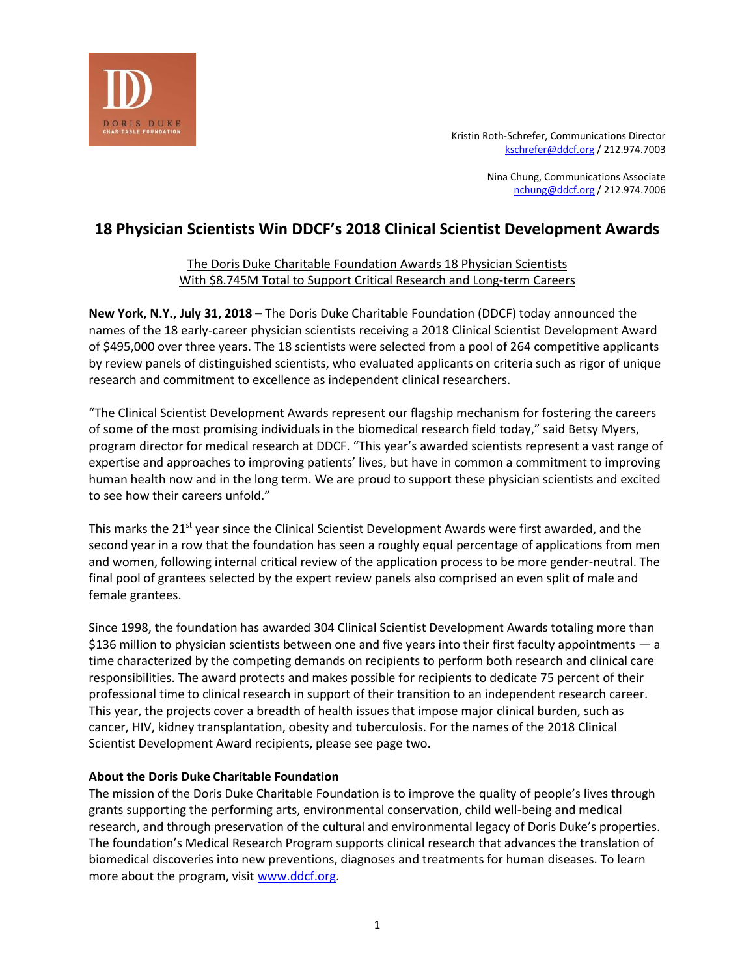

Kristin Roth-Schrefer, Communications Director [kschrefer@ddcf.org](mailto:kschrefer@ddcf.org) / 212.974.7003

> Nina Chung, Communications Associate [nchung@ddcf.org](mailto:nchung@ddcf.org) / 212.974.7006

# **18 Physician Scientists Win DDCF's 2018 Clinical Scientist Development Awards**

# The Doris Duke Charitable Foundation Awards 18 Physician Scientists With \$8.745M Total to Support Critical Research and Long-term Careers

**New York, N.Y., July 31, 2018 –** The Doris Duke Charitable Foundation (DDCF) today announced the names of the 18 early-career physician scientists receiving a 2018 Clinical Scientist Development Award of \$495,000 over three years. The 18 scientists were selected from a pool of 264 competitive applicants by review panels of distinguished scientists, who evaluated applicants on criteria such as rigor of unique research and commitment to excellence as independent clinical researchers.

"The Clinical Scientist Development Awards represent our flagship mechanism for fostering the careers of some of the most promising individuals in the biomedical research field today," said Betsy Myers, program director for medical research at DDCF. "This year's awarded scientists represent a vast range of expertise and approaches to improving patients' lives, but have in common a commitment to improving human health now and in the long term. We are proud to support these physician scientists and excited to see how their careers unfold."

This marks the 21<sup>st</sup> year since the Clinical Scientist Development Awards were first awarded, and the second year in a row that the foundation has seen a roughly equal percentage of applications from men and women, following internal critical review of the application process to be more gender-neutral. The final pool of grantees selected by the expert review panels also comprised an even split of male and female grantees.

Since 1998, the foundation has awarded 304 Clinical Scientist Development Awards totaling more than \$136 million to physician scientists between one and five years into their first faculty appointments — a time characterized by the competing demands on recipients to perform both research and clinical care responsibilities. The award protects and makes possible for recipients to dedicate 75 percent of their professional time to clinical research in support of their transition to an independent research career. This year, the projects cover a breadth of health issues that impose major clinical burden, such as cancer, HIV, kidney transplantation, obesity and tuberculosis. For the names of the 2018 Clinical Scientist Development Award recipients, please see page two.

# **About the Doris Duke Charitable Foundation**

The mission of the Doris Duke Charitable Foundation is to improve the quality of people's lives through grants supporting the performing arts, environmental conservation, child well-being and medical research, and through preservation of the cultural and environmental legacy of Doris Duke's properties. The foundation's Medical Research Program supports clinical research that advances the translation of biomedical discoveries into new preventions, diagnoses and treatments for human diseases. To learn more about the program, visit [www.ddcf.org.](http://www.ddcf.org/)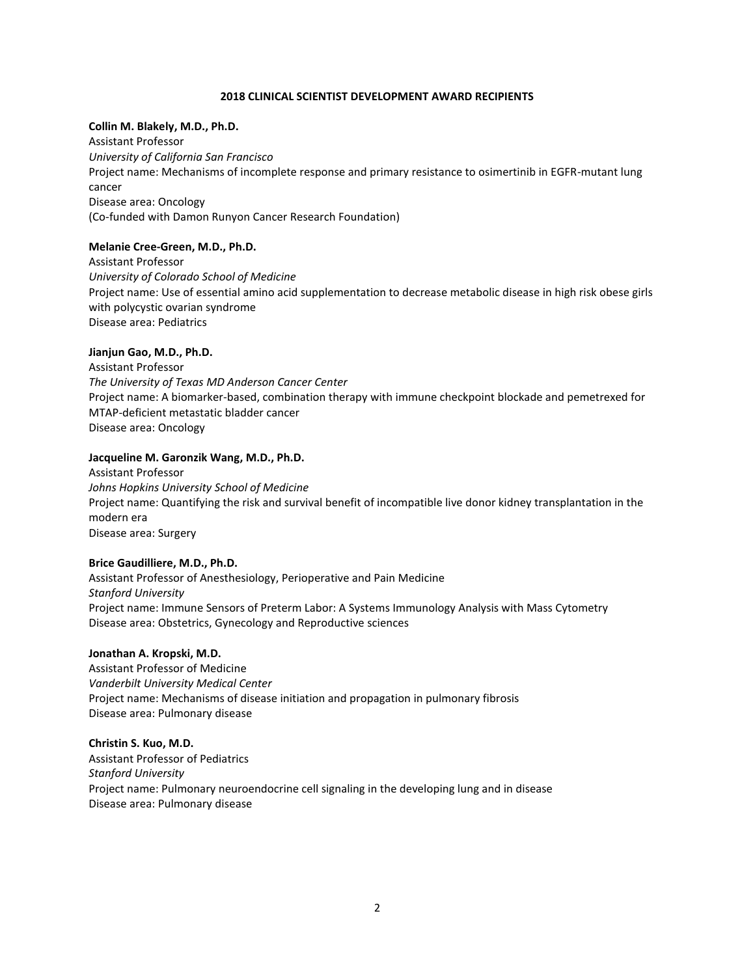#### **2018 CLINICAL SCIENTIST DEVELOPMENT AWARD RECIPIENTS**

#### **Collin M. Blakely, M.D., Ph.D.**

Assistant Professor *University of California San Francisco* Project name: Mechanisms of incomplete response and primary resistance to osimertinib in EGFR-mutant lung cancer Disease area: Oncology (Co-funded with Damon Runyon Cancer Research Foundation)

# **Melanie Cree-Green, M.D., Ph.D.**

Assistant Professor *University of Colorado School of Medicine*  Project name: Use of essential amino acid supplementation to decrease metabolic disease in high risk obese girls with polycystic ovarian syndrome Disease area: Pediatrics

# **Jianjun Gao, M.D., Ph.D.**

Assistant Professor *The University of Texas MD Anderson Cancer Center* Project name: A biomarker-based, combination therapy with immune checkpoint blockade and pemetrexed for MTAP-deficient metastatic bladder cancer Disease area: Oncology

# **Jacqueline M. Garonzik Wang, M.D., Ph.D.**

Assistant Professor *Johns Hopkins University School of Medicine* Project name: Quantifying the risk and survival benefit of incompatible live donor kidney transplantation in the modern era Disease area: Surgery

# **Brice Gaudilliere, M.D., Ph.D.**

Assistant Professor of Anesthesiology, Perioperative and Pain Medicine *Stanford University* Project name: Immune Sensors of Preterm Labor: A Systems Immunology Analysis with Mass Cytometry Disease area: Obstetrics, Gynecology and Reproductive sciences

#### **Jonathan A. Kropski, M.D.**

Assistant Professor of Medicine *Vanderbilt University Medical Center* Project name: Mechanisms of disease initiation and propagation in pulmonary fibrosis Disease area: Pulmonary disease

#### **Christin S. Kuo, M.D.**

Assistant Professor of Pediatrics *Stanford University* Project name: Pulmonary neuroendocrine cell signaling in the developing lung and in disease Disease area: Pulmonary disease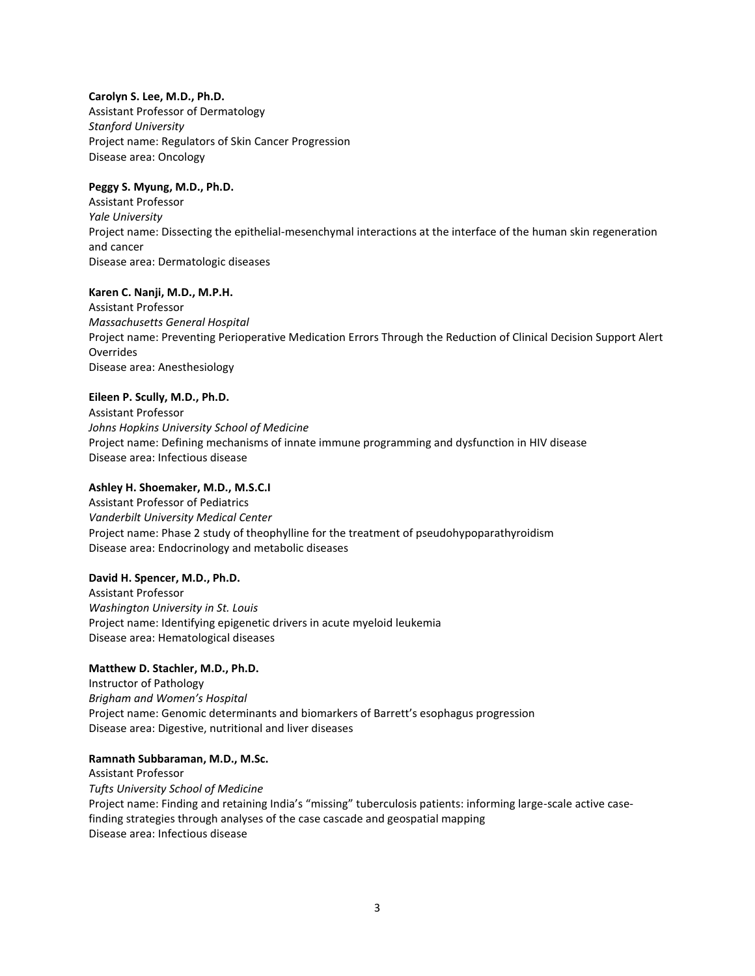# **Carolyn S. Lee, M.D., Ph.D.**

Assistant Professor of Dermatology *Stanford University* Project name: Regulators of Skin Cancer Progression Disease area: Oncology

# **Peggy S. Myung, M.D., Ph.D.**

Assistant Professor *Yale University* Project name: Dissecting the epithelial-mesenchymal interactions at the interface of the human skin regeneration and cancer Disease area: Dermatologic diseases

#### **Karen C. Nanji, M.D., M.P.H.**

Assistant Professor *Massachusetts General Hospital* Project name: Preventing Perioperative Medication Errors Through the Reduction of Clinical Decision Support Alert Overrides Disease area: Anesthesiology

#### **Eileen P. Scully, M.D., Ph.D.**

Assistant Professor *Johns Hopkins University School of Medicine* Project name: Defining mechanisms of innate immune programming and dysfunction in HIV disease Disease area: Infectious disease

#### **Ashley H. Shoemaker, M.D., M.S.C.I**

Assistant Professor of Pediatrics *Vanderbilt University Medical Center* Project name: Phase 2 study of theophylline for the treatment of pseudohypoparathyroidism Disease area: Endocrinology and metabolic diseases

#### **David H. Spencer, M.D., Ph.D.**

Assistant Professor *Washington University in St. Louis* Project name: Identifying epigenetic drivers in acute myeloid leukemia Disease area: Hematological diseases

#### **Matthew D. Stachler, M.D., Ph.D.**

Instructor of Pathology *Brigham and Women's Hospital* Project name: Genomic determinants and biomarkers of Barrett's esophagus progression Disease area: Digestive, nutritional and liver diseases

#### **Ramnath Subbaraman, M.D., M.Sc.**

Assistant Professor *Tufts University School of Medicine* Project name: Finding and retaining India's "missing" tuberculosis patients: informing large-scale active casefinding strategies through analyses of the case cascade and geospatial mapping Disease area: Infectious disease